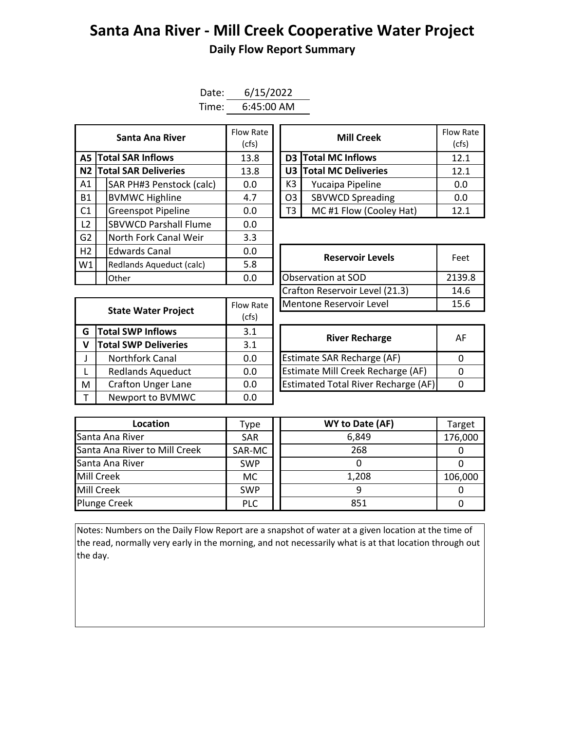## **Santa Ana River - Mill Creek Cooperative Water Project Daily Flow Report Summary**

| Date: | 6/15/2022    |
|-------|--------------|
| Time: | $6:45:00$ AM |

| Santa Ana River                |  |                              | Flow Rate<br>(cfs) | <b>Mill Creek</b>          |                         |       |  |
|--------------------------------|--|------------------------------|--------------------|----------------------------|-------------------------|-------|--|
| <b>A5 Total SAR Inflows</b>    |  | 13.8                         |                    | <b>D3</b> Total MC Inflows | 12.1                    |       |  |
|                                |  | N2 Total SAR Deliveries      | 13.8               |                            | U3 Total MC Deliveries  | 12.1  |  |
| A1                             |  | SAR PH#3 Penstock (calc)     | 0.0                | K3                         | Yucaipa Pipeline        | 0.0   |  |
| <b>B1</b>                      |  | <b>BVMWC Highline</b>        | 4.7                | O <sub>3</sub>             | <b>SBVWCD Spreading</b> | 0.0   |  |
| C <sub>1</sub>                 |  | <b>Greenspot Pipeline</b>    | 0.0                | T3                         | MC#1 Flow (Cooley Hat)  | 12.1  |  |
| L <sub>2</sub>                 |  | <b>SBVWCD Parshall Flume</b> | 0.0                |                            |                         |       |  |
| G2                             |  | North Fork Canal Weir        | 3.3                |                            |                         |       |  |
| H2                             |  | <b>Edwards Canal</b>         | 0.0                |                            | <b>Reservoir Levels</b> | Feet  |  |
| W1<br>Redlands Aqueduct (calc) |  | 5.8                          |                    |                            |                         |       |  |
|                                |  | Other                        | 0.0                |                            | Observation at SOD      | 2139. |  |

| Santa Ana River         | Flow Rate<br>(cfs) |                | <b>Mill Creek</b>       | <b>Flow Rate</b><br>(cfs) |
|-------------------------|--------------------|----------------|-------------------------|---------------------------|
| <b>I SAR Inflows</b>    | 13.8               |                | D3 Total MC Inflows     | 12.1                      |
| <b>I SAR Deliveries</b> | 13.8               |                | U3 Total MC Deliveries  | 12.1                      |
| AR PH#3 Penstock (calc) | 0.0                | K <sub>3</sub> | Yucaipa Pipeline        | 0.0                       |
| /MWC Highline           | 4.7                | O <sub>3</sub> | <b>SBVWCD Spreading</b> | 0.0                       |
| reenspot Pipeline       | 0.0                |                | MC#1 Flow (Cooley Hat)  | 12.1                      |

|                                        | .                |                                | Feet   |
|----------------------------------------|------------------|--------------------------------|--------|
| Redlands Aqueduct (calc)               | 5.8              | <b>Reservoir Levels</b>        |        |
| Other                                  | 0.0              | Observation at SOD             | 2139.8 |
|                                        |                  | Crafton Reservoir Level (21.3) | 14.6   |
|                                        | <b>Flow Rate</b> | Mentone Reservoir Level        | 15.6   |
| <b>State Water Project</b><br>$ c$ fc) |                  |                                |        |

| <b>State Water Project</b> |                             | Flow Rate | Mentone Reservoir Level             |          |  |  |
|----------------------------|-----------------------------|-----------|-------------------------------------|----------|--|--|
|                            |                             | (cfs)     |                                     |          |  |  |
| G                          | <b>Total SWP Inflows</b>    | 3.1       | <b>River Recharge</b>               | A        |  |  |
| v                          | <b>Total SWP Deliveries</b> | 3.1       |                                     |          |  |  |
|                            | <b>Northfork Canal</b>      | 0.0       | Estimate SAR Recharge (AF)          | $\Omega$ |  |  |
|                            | <b>Redlands Aqueduct</b>    | 0.0       | Estimate Mill Creek Recharge (AF)   | $\Omega$ |  |  |
| M                          | <b>Crafton Unger Lane</b>   | 0.0       | Estimated Total River Recharge (AF) | 0        |  |  |
|                            | Newport to BVMWC            | 0.0       |                                     |          |  |  |

| <b>River Recharge</b>                      | AF |
|--------------------------------------------|----|
| Estimate SAR Recharge (AF)                 |    |
| Estimate Mill Creek Recharge (AF)          |    |
| <b>Estimated Total River Recharge (AF)</b> |    |

| Location                      | Type       | WY to Date (AF) | Target  |
|-------------------------------|------------|-----------------|---------|
| Santa Ana River               | <b>SAR</b> | 6,849           | 176,000 |
| Santa Ana River to Mill Creek | SAR-MC     | 268             |         |
| Santa Ana River               | <b>SWP</b> |                 |         |
| Mill Creek                    | <b>MC</b>  | 1,208           | 106,000 |
| Mill Creek                    | <b>SWP</b> |                 |         |
| <b>Plunge Creek</b>           | <b>PLC</b> | 851             |         |

Notes: Numbers on the Daily Flow Report are a snapshot of water at a given location at the time of the read, normally very early in the morning, and not necessarily what is at that location through out the day.